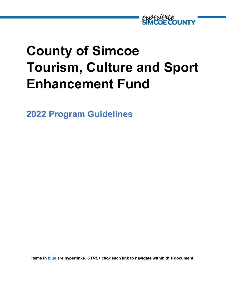

# **County of Simcoe Tourism, Culture and Sport Enhancement Fund**

**2022 Program Guidelines**

**Items in blue are hyperlinks.** *CTRL+ click* **each link to navigate within this document.**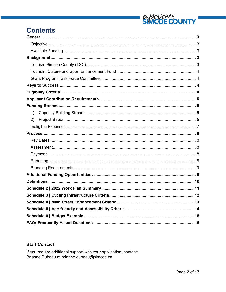

## **Contents**

| 1) |
|----|
| 2) |
|    |
|    |
|    |
|    |
|    |
|    |
|    |
|    |
|    |
|    |
|    |
|    |
|    |
|    |
|    |

### **Staff Contact**

If you require additional support with your application, contact: Brianne Dubeau at brianne.dubeau@simcoe.ca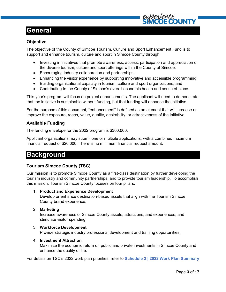### <span id="page-2-0"></span>**General**

### <span id="page-2-1"></span>**Objective**

The objective of the County of Simcoe Tourism, Culture and Sport Enhancement Fund is to support and enhance tourism, culture and sport in Simcoe County through:

- Investing in initiatives that promote awareness, access, participation and appreciation of the diverse tourism, culture and sport offerings within the County of Simcoe;
- Encouraging industry collaboration and partnerships;
- Enhancing the visitor experience by supporting innovative and accessible programming;
- Building organizational capacity in tourism, culture and sport organizations; and
- Contributing to the County of Simcoe's overall economic health and sense of place.

This year's program will focus on project enhancements. The applicant will need to demonstrate that the initiative is sustainable without funding, but that funding will enhance the initiative.

For the purpose of this document, "enhancement" is defined as an element that will increase or improve the exposure, reach, value, quality, desirability, or attractiveness of the initiative.

### <span id="page-2-2"></span>**Available Funding**

The funding envelope for the 2022 program is \$300,000.

Applicant organizations may submit one or multiple applications, with a combined maximum financial request of \$20,000. There is no minimum financial request amount.

### <span id="page-2-3"></span>**Background**

### <span id="page-2-4"></span>**Tourism Simcoe County (TSC)**

Our mission is to promote Simcoe County as a first-class destination by further developing the tourism industry and community partnerships, and to provide tourism leadership. To accomplish this mission, Tourism Simcoe County focuses on four pillars.

#### 1. **Product and Experience Development**

Develop or enhance destination-based assets that align with the Tourism Simcoe County brand experience.

2. **Marketing**

Increase awareness of Simcoe County assets, attractions, and experiences; and stimulate visitor spending.

#### 3. **Workforce Development**

Provide strategic industry professional development and training opportunities.

#### 4. **Investment Attraction**

Maximize the economic return on public and private investments in Simcoe County and enhance the quality of life.

For details on TSC's 2022 work plan priorities, refer to **[Schedule 2 | 2022 Work Plan Summary](#page-10-0)**

**OUNT**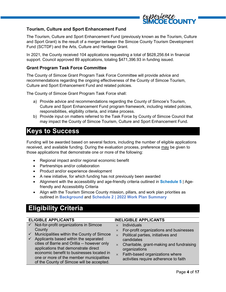

### <span id="page-3-0"></span>**Tourism, Culture and Sport Enhancement Fund**

The Tourism, Culture and Sport Enhancement Fund (previously known as the Tourism, Culture and Sport Grant) is the result of a merger between the Simcoe County Tourism Development Fund (SCTDF) and the Arts, Culture and Heritage Grant.

In 2021, the County received 104 applications requesting a total of \$628,256.64 in financial support. Council approved 89 applications, totaling \$471,396.93 in funding issued.

### <span id="page-3-1"></span>**Grant Program Task Force Committee**

The County of Simcoe Grant Program Task Force Committee will provide advice and recommendations regarding the ongoing effectiveness of the County of Simcoe Tourism, Culture and Sport Enhancement Fund and related policies.

The County of Simcoe Grant Program Task Force shall:

- a) Provide advice and recommendations regarding the County of Simcoe's Tourism, Culture and Sport Enhancement Fund program framework, including related policies, responsibilities, eligibility criteria, and intake process.
- b) Provide input on matters referred to the Task Force by County of Simcoe Council that may impact the County of Simcoe Tourism, Culture and Sport Enhancement Fund.

### <span id="page-3-2"></span>**Keys to Success**

Funding will be awarded based on several factors, including the number of eligible applications received, and available funding. During the evaluation process, preference may be given to those applications that demonstrate one or more of the following:

- Regional impact and/or regional economic benefit
- Partnerships and/or collaboration
- Product and/or experience development
- A new initiative, for which funding has not previously been awarded
- Alignment with the accessibility and age-friendly criteria outlined in **[Schedule 5](#page-13-0)** | Age[friendly and Accessibility Criteria](#page-13-0)
- Align with the Tourism Simcoe County mission, pillars, and work plan priorities as outlined in **[Background](#page-2-3)** and **Schedule 2 [| 2022 Work Plan Summary](#page-10-0)**

### <span id="page-3-3"></span>**Eligibility Criteria**

#### **ELIGIBLE APPLICANTS INELIGIBLE APPLICANTS**  $\checkmark$  Not-for-profit organizations in Simcoe **County**  $\checkmark$  Municipalities within the County of Simcoe  $\checkmark$  Applicants based within the separated cities of Barrie and Orillia -- however only applications that demonstrate direct economic benefit to businesses located in one or more of the member municipalities of the County of Simcoe will be accepted.  $\times$  Individuals  $\times$  For-profit organizations and businesses  $\times$  Political parties, initiatives and candidates  $\times$  Charitable, grant-making and fundraising organizations  $\times$  Faith-based organizations where activities require adherence to faith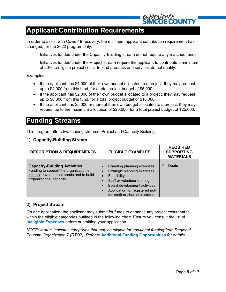### <span id="page-4-0"></span>**Applicant Contribution Requirements**

In order to assist with Covid-19 recovery, the minimum applicant contribution requirement has changed, for the 2022 program only.

Initiatives funded under the Capacity-Building stream do not require any matched funds.

Initiatives funded under the Project stream require the applicant to contribute a minimum of 20% to eligible project costs. In-kind products and services do not qualify.

Examples:

- If the applicant has \$1,000 of their own budget allocated to a project, they may request up to \$4,000 from this fund, for a total project budget of \$5,000.
- If the applicant has \$2,000 of their own budget allocated to a project, they may request up to \$8,000 from this fund, for a total project budget of \$10,000.
- If the applicant has \$5,000 or more of their own budget allocated to a project, they may request up to the maximum allocation of \$20,000, for a total project budget of \$25,000.

### <span id="page-4-1"></span>**Funding Streams**

This program offers two funding streams: Project and Capacity-Building.

### <span id="page-4-2"></span>**1) Capacity-Building Stream**

| <b>DESCRIPTION &amp; REQUIREMENTS</b>                                                                                                               | <b>ELIGIBLE EXAMPLES</b>                                                                                                                                                                                                             | <b>REQUIRED</b><br><b>SUPPORTING</b><br><b>MATERIALS</b> |
|-----------------------------------------------------------------------------------------------------------------------------------------------------|--------------------------------------------------------------------------------------------------------------------------------------------------------------------------------------------------------------------------------------|----------------------------------------------------------|
| <b>Capacity-Building Activities</b><br>Funding to support the organization's<br>internal development needs and to build<br>organizational capacity. | Branding planning exercises<br>Strategic planning exercises<br>Feasibility studies<br>$\bullet$<br>Staff or volunteer training<br>Board development activities<br>Application for registered not-<br>for-profit or charitable status | Quote<br>$\checkmark$                                    |

### <span id="page-4-3"></span>**2) Project Stream**

On one application, the applicant may submit for funds to enhance any project costs that fall within the eligible categories outlined in the following chart. Ensure you consult the list of **[Ineligible Expenses](#page-6-0)** before submitting your application.

*NOTE: A star\* indicates categories that may be eligible for additional funding from Regional Tourism Organization 7 (RTO7). Refer to* **[Additional Funding Opportunities](#page-8-1)** *for details.*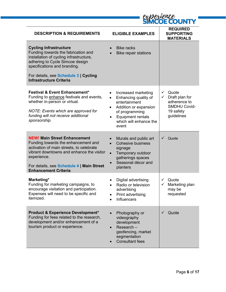|                                                                                                                                                                                                                                                                | COUN                                                                                                                                                                                     |                                                                                                           |  |
|----------------------------------------------------------------------------------------------------------------------------------------------------------------------------------------------------------------------------------------------------------------|------------------------------------------------------------------------------------------------------------------------------------------------------------------------------------------|-----------------------------------------------------------------------------------------------------------|--|
| <b>DESCRIPTION &amp; REQUIREMENTS</b>                                                                                                                                                                                                                          | <b>ELIGIBLE EXAMPLES</b>                                                                                                                                                                 | <b>REQUIRED</b><br><b>SUPPORTING</b><br><b>MATERIALS</b>                                                  |  |
| <b>Cycling Infrastructure</b><br>Funding towards the fabrication and<br>installation of cycling infrastructure,<br>adhering to Cycle Simcoe design<br>specifications and branding.<br>For details, see Schedule 3   Cycling                                    | <b>Bike racks</b><br><b>Bike repair stations</b>                                                                                                                                         |                                                                                                           |  |
| <b>Infrastructure Criteria</b>                                                                                                                                                                                                                                 |                                                                                                                                                                                          |                                                                                                           |  |
| <b>Festival &amp; Event Enhancement*</b><br>Funding to enhance festivals and events,<br>whether in-person or virtual.<br>NOTE: Events which are approved for<br>funding will not receive additional<br>sponsorship.                                            | Increased marketing<br>٠<br>Enhancing quality of<br>$\bullet$<br>entertainment<br>Addition or expansion<br>of programming<br><b>Equipment rentals</b><br>which will enhance the<br>event | Quote<br>$\checkmark$<br>Draft plan for<br>adherence to<br><b>SMDHU Covid-</b><br>19 safety<br>guidelines |  |
| <b>NEW! Main Street Enhancement</b><br>Funding towards the enhancement and<br>activation of main streets, to celebrate<br>vibrant downtowns and enhance the visitor<br>experience.<br>For details, see Schedule 4   Main Street<br><b>Enhancement Criteria</b> | Murals and public art<br><b>Cohesive business</b><br>signage<br>Temporary outdoor<br>$\bullet$<br>gatherings spaces<br>Seasonal décor and<br>planters                                    | Quote                                                                                                     |  |
| Marketing*<br>Funding for marketing campaigns, to<br>encourage visitation and participation.<br>Expenses will need to be specific and<br>itemized.                                                                                                             | Digital advertising<br>Radio or television<br>advertising<br>Print advertising<br>٠<br>Influencers<br>$\bullet$                                                                          | Quote<br>✓<br>Marketing plan<br>may be<br>requested                                                       |  |
| <b>Product &amp; Experience Development*</b><br>Funding for fees related to the research,<br>development and/or enhancement of a<br>tourism product or experience.                                                                                             | Photography or<br>$\bullet$<br>videography<br>development<br>Research-<br>$\bullet$<br>geofencing, market<br>segmentation<br><b>Consultant fees</b>                                      | Quote<br>$\checkmark$                                                                                     |  |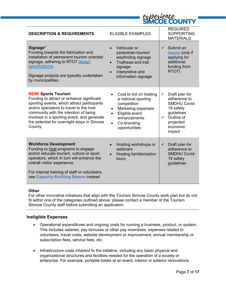|                                                                                                                                                                                                                                                                                                                    | <b>SIMCUE COUN IN</b>                                                                                                                                                                                           |                                                                                                                                                 |  |  |
|--------------------------------------------------------------------------------------------------------------------------------------------------------------------------------------------------------------------------------------------------------------------------------------------------------------------|-----------------------------------------------------------------------------------------------------------------------------------------------------------------------------------------------------------------|-------------------------------------------------------------------------------------------------------------------------------------------------|--|--|
| <b>DESCRIPTION &amp; REQUIREMENTS</b>                                                                                                                                                                                                                                                                              | <b>ELIGIBLE EXAMPLES</b>                                                                                                                                                                                        | <b>REQUIRED</b><br><b>SUPPORTING</b><br><b>MATERIALS</b>                                                                                        |  |  |
| Signage*<br>Funding towards the fabrication and<br>installation of permanent tourism oriented<br>signage, adhering to RTO7 design<br>specifications.<br>Signage projects are typically undertaken<br>by municipalities.                                                                                            | Vehicular or<br>pedestrian tourism<br>wayfinding signage<br><b>Trailhead and trail</b><br>$\bullet$<br>signage<br>Interpretive and<br>$\bullet$<br>information signage                                          | Submit an<br>✓<br>inquiry (only if<br>applying for<br>additional<br>funding from<br>RTO7)                                                       |  |  |
| <b>NEW! Sports Tourism</b><br>Funding to attract or enhance significant<br>sporting events, which attract participants<br>and/or spectators to travel to the host<br>community with the intention of being<br>involved in a sporting event, and generate<br>the potential for overnight stays in Simcoe<br>County. | Cost to bid on hosting<br>$\bullet$<br>a national sporting<br>competition<br><b>Marketing expenses</b><br>$\bullet$<br>Eligible event<br>$\bullet$<br>enhancements<br>Co-branding<br>$\bullet$<br>opportunities | Draft plan for<br>✓<br>adherence to<br>SMDHU Covid-<br>19 safety<br>guidelines<br>$\checkmark$<br>Outline of<br>projected<br>economic<br>impact |  |  |
| <b>Workforce Development</b><br>Funding to host programs to engage<br>and/or educate tourism, culture or sport<br>operators, which in turn will enhance the<br>overall visitor experience.<br>For internal training of staff or volunteers,<br>see Capacity-Building Stream instead                                | Hosting workshops or<br>webinars<br>Hosting familiarization<br>tours                                                                                                                                            | Draft plan for<br>$\checkmark$<br>adherence to<br><b>SMDHU Covid-</b><br>19 safety<br>guidelines                                                |  |  |

experience

#### **Other**

For other innovative initiatives that align with the Tourism Simcoe County work plan but do not fit within one of the categories outlined above, please contact a member of the Tourism Simcoe County staff before submitting an application.

### <span id="page-6-0"></span>**Ineligible Expenses**

- Operational expenditures and ongoing costs for running a business, product, or system. This includes salaries, pay bonuses or other pay incentives, expenses related to volunteers, travel costs, website development or improvement, annual membership or subscription fees, service fees, etc.
- Infrastructure costs inherent to the initiative, including any basic physical and organizational structures and facilities needed for the operation of a society or enterprise. For example, portable toilets at an event, interior or exterior renovations.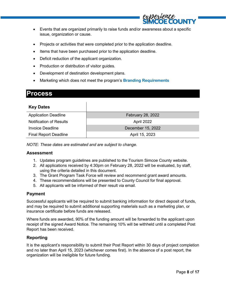

- Events that are organized primarily to raise funds and/or awareness about a specific issue, organization or cause.
- Projects or activities that were completed prior to the application deadline.
- Items that have been purchased prior to the application deadline.
- Deficit reduction of the applicant organization.
- Production or distribution of visitor guides.
- Development of destination development plans.
- Marketing which does not meet the program's **[Branding Requirements](#page-8-0)**

### <span id="page-7-0"></span>**Process**

<span id="page-7-1"></span>

| <b>Key Dates</b>               |                   |
|--------------------------------|-------------------|
| <b>Application Deadline</b>    | February 28, 2022 |
| <b>Notification of Results</b> | April 2022        |
| <b>Invoice Deadline</b>        | December 15, 2022 |
| <b>Final Report Deadline</b>   | April 15, 2023    |

*NOTE: These dates are estimated and are subject to change.*

#### <span id="page-7-2"></span>**Assessment**

- 1. Updates program guidelines are published to the Tourism Simcoe County website.
- 2. All applications received by 4:30pm on February 28, 2022 will be evaluated, by staff, using the criteria detailed in this document.
- 3. The Grant Program Task Force will review and recommend grant award amounts.
- 4. These recommendations will be presented to County Council for final approval.
- 5. All applicants will be informed of their result via email.

#### <span id="page-7-3"></span>**Payment**

Successful applicants will be required to submit banking information for direct deposit of funds, and may be required to submit additional supporting materials such as a marketing plan, or insurance certificate before funds are released.

Where funds are awarded, 90% of the funding amount will be forwarded to the applicant upon receipt of the signed Award Notice. The remaining 10% will be withheld until a completed Post Report has been received.

### <span id="page-7-4"></span>**Reporting**

It is the applicant's responsibility to submit their Post Report within 30 days of project completion and no later than April 15, 2023 (whichever comes first). In the absence of a post report, the organization will be ineligible for future funding.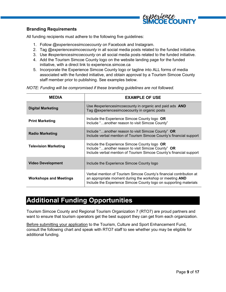

### <span id="page-8-0"></span>**Branding Requirements**

All funding recipients must adhere to the following five guidelines:

- 1. Follow *@experiencesimcoecounty* on Facebook and Instagram.
- 2. Tag *@experiencesimcoecounty* in all social media posts related to the funded initiative.
- 3. Use *#experiencesimcoecounty* on all social media posts related to the funded initiative.
- 4. Add the Tourism Simcoe County logo on the website landing page for the funded initiative, with a direct link to experience.simcoe.ca
- 5. Incorporate the Experience Simcoe County logo or tagline into ALL forms of media associated with the funded initiative, and obtain approval by a Tourism Simcoe County staff member prior to publishing. See examples below.

*NOTE: Funding will be compromised if these branding guidelines are not followed.*

| MFDIA                         | <b>EXAMPLE OF USE</b>                                                                                                                                                                                |  |  |
|-------------------------------|------------------------------------------------------------------------------------------------------------------------------------------------------------------------------------------------------|--|--|
| <b>Digital Marketing</b>      | Use #experiencesimcoecounty in organic and paid ads AND<br>Tag @experiencesimcoecounty in organic posts                                                                                              |  |  |
| <b>Print Marketing</b>        | Include the Experience Simcoe County logo OR<br>Include "another reason to visit Simcoe County"                                                                                                      |  |  |
| <b>Radio Marketing</b>        | Include "another reason to visit Simcoe County" OR<br>Include verbal mention of Tourism Simcoe County's financial support                                                                            |  |  |
| <b>Television Marketing</b>   | Include the Experience Simcoe County logo OR<br>Include "another reason to visit Simcoe County" OR<br>Include verbal mention of Tourism Simcoe County's financial support                            |  |  |
| <b>Video Development</b>      | Include the Experience Simcoe County logo                                                                                                                                                            |  |  |
| <b>Workshops and Meetings</b> | Verbal mention of Tourism Simcoe County's financial contribution at<br>an appropriate moment during the workshop or meeting AND<br>Include the Experience Simcoe County logo on supporting materials |  |  |

### <span id="page-8-1"></span>**Additional Funding Opportunities**

Tourism Simcoe County and Regional Tourism Organization 7 (RTO7) are proud partners and want to ensure that tourism operators get the best support they can get from each organization.

Before submitting your application to the Tourism, Culture and Sport Enhancement Fund, consult the following chart and speak with RTO7 staff to see whether you may be eligible for additional funding.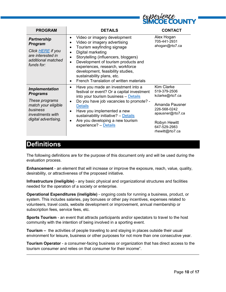

| <b>PROGRAM</b>                                                                                                                            | <b>DETAILS</b>                                                                                                                                                                                                                                                                                                                                   | <b>CONTACT</b>                                                                                                                                         |
|-------------------------------------------------------------------------------------------------------------------------------------------|--------------------------------------------------------------------------------------------------------------------------------------------------------------------------------------------------------------------------------------------------------------------------------------------------------------------------------------------------|--------------------------------------------------------------------------------------------------------------------------------------------------------|
| <b>Partnership</b><br><b>Program</b><br>Click <b>HERE</b> if you<br>are interested in<br>additional matched<br>funds for:                 | Video or imagery development<br>Video or imagery advertising<br>Tourism wayfinding signage<br>Digital marketing<br>Storytelling (influencers, bloggers)<br>Development of tourism products and<br>experiences, research, workforce<br>development, feasibility studies,<br>sustainability plans, etc.<br>French Translation of written materials | Alex Hogan<br>705-441-2931<br>ahogan@rto7.ca                                                                                                           |
| <b>Implementation</b><br><b>Programs</b><br>These programs<br>match your eligible<br>business<br>investments with<br>digital advertising. | Have you made an investment into a<br>٠<br>festival or event? Or a capital investment<br>into your tourism business - Details<br>Do you have job vacancies to promote? -<br><b>Details</b><br>Have you implemented a new<br>sustainability initiative? - Details<br>Are you developing a new tourism<br>٠<br>experience? - Details               | Kim Clarke<br>519-379-2506<br>kclarke@rto7.ca<br>Amanda Pausner<br>226-568-0242<br>apausner@rto7.ca<br>Robyn Hewitt<br>647-529-2983<br>rhewitt@rto7.ca |

### <span id="page-9-0"></span>**Definitions**

The following definitions are for the purpose of this document only and will be used during the evaluation process.

**Enhancement** - an element that will increase or improve the exposure, reach, value, quality, desirability, or attractiveness of the proposed initiative.

**Infrastructure (ineligible)** - any basic physical and organizational structures and facilities needed for the operation of a society or enterprise.

**Operational Expenditures (ineligible)** - ongoing costs for running a business, product, or system. This includes salaries, pay bonuses or other pay incentives, expenses related to volunteers, travel costs, website development or improvement, annual membership or subscription fees, service fees, etc.

**Sports Tourism** - an event that attracts participants and/or spectators to travel to the host community with the intention of being involved in a sporting event.

**Tourism –** the activities of people traveling to and staying in places outside their usual environment for leisure, business or other purposes for not more than one consecutive year.

**Tourism Operator** - a consumer-facing business or organization that has direct access to the tourism consumer and relies on that consumer for their income".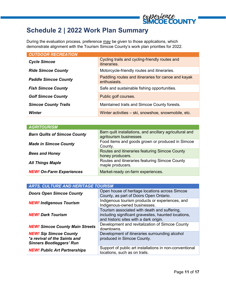### <span id="page-10-0"></span>**Schedule 2 | 2022 Work Plan Summary**

During the evaluation process, preference may be given to those applications, which demonstrate alignment with the Tourism Simcoe County's work plan priorities for 2022.

| <b>OUTDOOR RECREATION</b>   |                                                                       |  |  |  |
|-----------------------------|-----------------------------------------------------------------------|--|--|--|
| <b>Cycle Simcoe</b>         | Cycling trails and cycling-friendly routes and<br><i>itineraries.</i> |  |  |  |
| <b>Ride Simcoe County</b>   | Motorcycle-friendly routes and itineraries.                           |  |  |  |
| <b>Paddle Simcoe County</b> | Paddling routes and itineraries for canoe and kayak<br>enthusiasts.   |  |  |  |
| <b>Fish Simcoe County</b>   | Safe and sustainable fishing opportunities.                           |  |  |  |
| <b>Golf Simcoe County</b>   | Public golf courses.                                                  |  |  |  |
| <b>Simcoe County Trails</b> | Maintained trails and Simcoe County forests.                          |  |  |  |
| Winter                      | Winter activities - ski, snowshoe, snowmobile, etc.                   |  |  |  |

| <b>AGRITOURISM</b>                  |                                                                                    |
|-------------------------------------|------------------------------------------------------------------------------------|
| <b>Barn Quilts of Simcoe County</b> | Barn quilt installations, and ancillary agricultural and<br>agritourism businesses |
| <b>Made in Simcoe County</b>        | Food items and goods grown or produced in Simcoe<br>County.                        |
| <b>Bees and Honey</b>               | Routes and itineraries featuring Simcoe County<br>honey producers.                 |
| <b>All Things Maple</b>             | Routes and itineraries featuring Simcoe County<br>maple producers.                 |
| <b>NEW! On-Farm Experiences</b>     | Market-ready on-farm experiences.                                                  |

| <b>ARTS, CULTURE AND HERITAGE TOURISM</b>                                                        |                                                                                                                                                |  |  |  |
|--------------------------------------------------------------------------------------------------|------------------------------------------------------------------------------------------------------------------------------------------------|--|--|--|
| <b>Doors Open Simcoe County</b>                                                                  | Open house of heritage locations across Simcoe<br>County, as part of Doors Open Ontario.                                                       |  |  |  |
| <b>NEW! Indigenous Tourism</b>                                                                   | Indigenous tourism products or experiences, and<br>Indigenous-owned businesses.                                                                |  |  |  |
| <b>NEW! Dark Tourism</b>                                                                         | Tourism associated with death and suffering,<br>including significant gravesites, haunted locations,<br>and historic sites with a dark origin. |  |  |  |
| <b>NEW! Simcoe County Main Streets</b>                                                           | Development and revitalization of Simcoe County<br>downtowns.                                                                                  |  |  |  |
| <b>NEW! Sip Simcoe County</b><br>*a revival of the Saints and<br><b>Sinners Bootleggers' Run</b> | Development of itineraries surrounding alcohol<br>produced in Simcoe County.                                                                   |  |  |  |
| <b>NEW! Public Art Partnerships</b>                                                              | Support of public art installations in non-conventional<br>locations, such as on trails.                                                       |  |  |  |

COUNT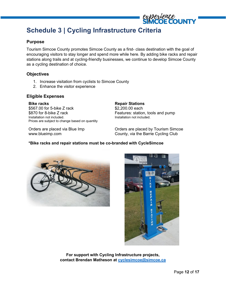### <span id="page-11-0"></span>**Schedule 3 | Cycling Infrastructure Criteria**

#### **Purpose**

Tourism Simcoe County promotes Simcoe County as a first- class destination with the goal of encouraging visitors to stay longer and spend more while here. By adding bike racks and repair stations along trails and at cycling-friendly businesses, we continue to develop Simcoe County as a cycling destination of choice.

### **Objectives**

- 1. Increase visitation from cyclists to Simcoe County
- 2. Enhance the visitor experience

#### **Eligible Expenses**

**Bike racks** \$567.00 for 5-bike Z rack \$870 for 8-bike Z rack Installation not included. Prices are subject to change based on quantity

Orders are placed via Blue Imp www.blueimp.com

**Repair Stations** \$2,200.00 each Features: station, tools and pump Installation not included.

Orders are placed by Tourism Simcoe County, via the Barrie Cycling Club

#### **\*Bike racks and repair stations must be co-branded with CycleSimcoe**





**For support with Cycling Infrastructure projects, contact Brendan Matheson at [cyclesimcoe@simcoe.ca](mailto:cyclesimcoe@simcoe.ca)**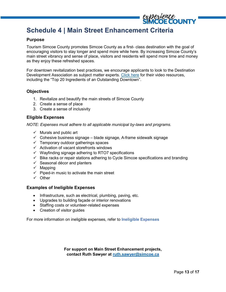### <span id="page-12-0"></span>**Schedule 4 | Main Street Enhancement Criteria**

### **Purpose**

Tourism Simcoe County promotes Simcoe County as a first- class destination with the goal of encouraging visitors to stay longer and spend more while here. By increasing Simcoe County's main street vibrancy and sense of place, visitors and residents will spend more time and money as they enjoy these refreshed spaces.

For downtown revitalization best practices, we encourage applicants to look to the Destination Development Association as subject matter experts. [Click here](https://www.rogerbrooksinternational.com/proddev-downtowns) for their video resources, including the "Top 20 Ingredients of an Outstanding Downtown".

#### **Objectives**

- 1. Revitalize and beautify the main streets of Simcoe County
- 2. Create a sense of place
- 3. Create a sense of inclusivity

### **Eligible Expenses**

*NOTE: Expenses must adhere to all applicable municipal by-laws and programs.*

- $\checkmark$  Murals and public art
- $\checkmark$  Cohesive business signage blade signage, A-frame sidewalk signage
- $\checkmark$  Temporary outdoor gatherings spaces
- $\checkmark$  Activation of vacant storefronts windows
- $\checkmark$  Wayfinding signage adhering to RTO7 specifications
- $\checkmark$  Bike racks or repair stations adhering to Cycle Simcoe specifications and branding
- $\checkmark$  Seasonal décor and planters
- $\checkmark$  Mapping
- $\checkmark$  Piped-in music to activate the main street
- $\checkmark$  Other

#### **Examples of Ineligible Expenses**

- Infrastructure, such as electrical, plumbing, paving, etc.
- Upgrades to building façade or interior renovations
- Staffing costs or volunteer-related expenses
- Creation of visitor guides

For more information on ineligible expenses, refer to **[Ineligible Expenses](#page-6-0)**

**For support on Main Street Enhancement projects, contact Ruth Sawyer at [ruth.sawyer@simcoe.ca](mailto:ruth.sawyer@simcoe.ca)**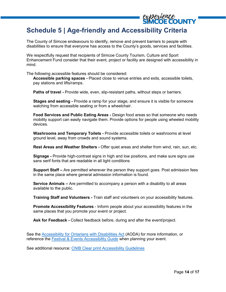### <span id="page-13-0"></span>**Schedule 5 | Age-friendly and Accessibility Criteria**

The County of Simcoe endeavours to identify, remove and prevent barriers to people with disabilities to ensure that everyone has access to the County's goods, services and facilities.

We respectfully request that recipients of Simcoe County Tourism, Culture and Sport Enhancement Fund consider that their event, project or facility are designed with accessibility in mind.

The following accessible features should be considered:

**Accessible parking spaces -** Placed close to venue entries and exits, accessible toilets, pay stations and lifts/ramps.

**Paths of travel -** Provide wide, even, slip-resistant paths, without steps or barriers.

**Stages and seating -** Provide a ramp for your stage, and ensure it is visible for someone watching from accessible seating or from a wheelchair.

**Food Services and Public Eating Areas -** Design food areas so that someone who needs mobility support can easily navigate them. Provide options for people using wheeled mobility devices.

**Washrooms and Temporary Toilets -** Provide accessible toilets or washrooms at level ground level, away from crowds and sound systems.

**Rest Areas and Weather Shelters -** Offer quiet areas and shelter from wind, rain, sun, etc.

**Signage -** Provide high-contrast signs in high and low positions, and make sure signs use sans serif fonts that are readable in all light conditions

**Support Staff –** Are permitted wherever the person they support goes. Post admission fees in the same place where general admission information is found.

**Service Animals –** Are permitted to accompany a person with a disability to all areas available to the public.

**Training Staff and Volunteers -** Train staff and volunteers on your accessibility features.

**Promote Accessibility Features** - Inform people about your accessibility features in the same places that you promote your event or project.

**Ask for Feedback -** Collect feedback before, during and after the event/project.

See the [Accessibility for Ontarians with Disabilities Act](https://www.ontario.ca/laws/statute/05a11) (AODA) for more information, or reference the [Festival & Events Accessibility Guide](https://accessibilitycanada.ca/wp-content/uploads/2016/06/Festivals-and-Events-Guide-EN.pdf) when planning your event.

See additional resource: [CNIB Clear print Accessibility Guidelines](https://cnib.ca/sites/default/files/2018-07/CNIB%20Clear%20Print%20Guide.pdf)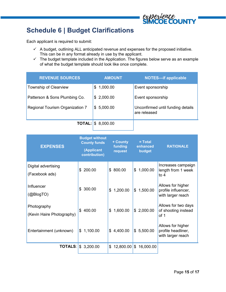

### <span id="page-14-0"></span>**Schedule 6 | Budget Clarifications**

Each applicant is required to submit:

- $\checkmark$  A budget, outlining ALL anticipated revenue and expenses for the proposed initiative. This can be in any format already in use by the applicant.
- $\checkmark$  The budget template included in the Application. The figures below serve as an example of what the budget template should look like once complete.

| <b>REVENUE SOURCES</b>          | <b>AMOUNT</b>                | <b>NOTES-if applicable</b>                        |
|---------------------------------|------------------------------|---------------------------------------------------|
| <b>Township of Clearview</b>    | \$1,000.00                   | Event sponsorship                                 |
| Patterson & Sons Plumbing Co.   | \$2,000.00                   | Event sponsorship                                 |
| Regional Tourism Organization 7 | \$5,000.00                   | Unconfirmed until funding details<br>are released |
|                                 | <b>TOTAL:</b> $\$\,8,000.00$ |                                                   |

| <b>EXPENSES</b>                          | <b>Budget without</b><br><b>County funds</b><br>(Applicant<br>contribution) | + County<br>funding<br>request | $= Total$<br>enhanced<br>budget | <b>RATIONALE</b>                                              |
|------------------------------------------|-----------------------------------------------------------------------------|--------------------------------|---------------------------------|---------------------------------------------------------------|
| Digital advertising<br>(Facebook ads)    | 200.00<br>\$                                                                | \$800.00                       | 1,000.00<br>\$                  | Increases campaign<br>length from 1 week<br>to $4$            |
| Influencer<br>(@BlogTO)                  | 300.00<br>\$                                                                | 1,200.00<br>S                  | 1,500.00<br>\$                  | Allows for higher<br>profile influencer,<br>with larger reach |
| Photography<br>(Kevin Haire Photography) | \$400.00                                                                    | 1,600.00<br>S                  | \$2,000.00                      | Allows for two days<br>of shooting instead<br>of 1            |
| Entertainment (unknown)                  | 1,100.00<br>\$                                                              | \$4,400.00                     | 5,500.00<br>\$                  | Allows for higher<br>profile headliner,<br>with larger reach  |
|                                          | <b>TOTALS:</b> $\$\,3,200.00$                                               | 12,800.00<br>\$                | \$<br>16,000.00                 |                                                               |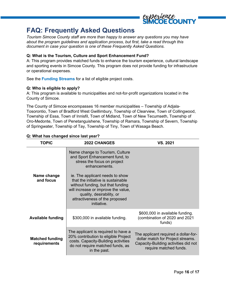

### <span id="page-15-0"></span>**FAQ: Frequently Asked Questions**

*Tourism Simcoe County staff are more than happy to answer any questions you may have about the program guidelines and application process, but first, take a read through this document in case your question is one of these Frequently Asked Questions.*

#### **Q: What is the Tourism, Culture and Sport Enhancement Fund?**

A: This program provides matched funds to enhance the tourism experience, cultural landscape and sporting events in Simcoe County. This program does not provide funding for infrastructure or operational expenses.

See the **[Funding Streams](#page-4-1)** for a list of eligible project costs.

#### **Q: Who is eligible to apply?**

A: This program is available to municipalities and not-for-profit organizations located in the County of Simcoe.

The County of Simcoe encompasses 16 member municipalities – Township of Adjala-Tosorontio, Town of Bradford West Gwillimbury, Township of Clearview, Town of Collingwood, Township of Essa, Town of Innisfil, Town of Midland, Town of New Tecumseth, Township of Oro-Medonte, Town of Penetanguishene, Township of Ramara, Township of Severn, Township of Springwater, Township of Tay, Township of Tiny, Town of Wasaga Beach.

| <b>TOPIC</b>                           | <b>2022 CHANGES</b>                                                                                                                                                                                                                                                                                                                                  | VS. 2021                                                                                                                                    |
|----------------------------------------|------------------------------------------------------------------------------------------------------------------------------------------------------------------------------------------------------------------------------------------------------------------------------------------------------------------------------------------------------|---------------------------------------------------------------------------------------------------------------------------------------------|
| Name change<br>and focus               | Name change to Tourism, Culture<br>and Sport Enhancement fund, to<br>stress the focus on project<br>enhancements.<br>ie. The applicant needs to show<br>that the initiative is sustainable<br>without funding, but that funding<br>will increase or improve the value,<br>quality, desirability, or<br>attractiveness of the proposed<br>initiative. |                                                                                                                                             |
| <b>Available funding</b>               | \$300,000 in available funding.                                                                                                                                                                                                                                                                                                                      | \$600,000 in available funding.<br>(combination of 2020 and 2021<br>funds)                                                                  |
| <b>Matched funding</b><br>requirements | The applicant is required to have a<br>20% contribution to eligible Project<br>costs. Capacity-Building activities<br>do not require matched funds, as<br>in the past.                                                                                                                                                                               | The applicant required a dollar-for-<br>dollar match for Project streams.<br>Capacity-Building activities did not<br>require matched funds. |

#### **Q: What has changed since last year?**